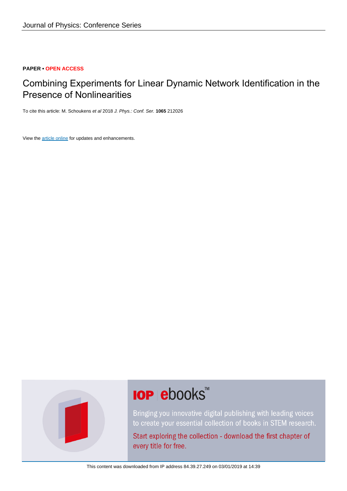#### **PAPER • OPEN ACCESS**

### Combining Experiments for Linear Dynamic Network Identification in the Presence of Nonlinearities

To cite this article: M. Schoukens et al 2018 J. Phys.: Conf. Ser. **1065** 212026

View the [article online](https://doi.org/10.1088/1742-6596/1065/21/212026) for updates and enhancements.



# **IOP ebooks**™

Bringing you innovative digital publishing with leading voices to create your essential collection of books in STEM research.

Start exploring the collection - download the first chapter of every title for free.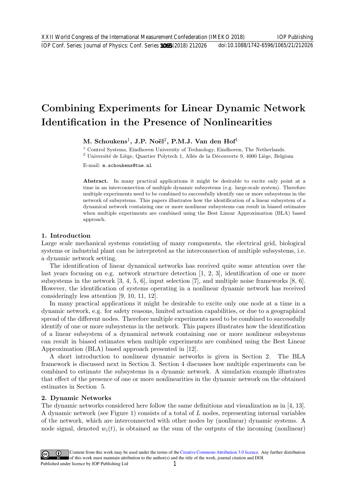## Combining Experiments for Linear Dynamic Network Identification in the Presence of Nonlinearities

M. Schoukens<sup>1</sup>, J.P. Noël<sup>2</sup>, P.M.J. Van den Hof<sup>1</sup>

<sup>1</sup> Control Systems, Eindhoven University of Technology, Eindhoven, The Netherlands.

 $2$  Université de Liège, Quartier Polytech 1, Allée de la Découverte 9, 4000 Liège, Belgium

E-mail: m.schoukens@tue.nl

Abstract. In many practical applications it might be desirable to excite only point at a time in an interconnection of multiple dynamic subsystems (e.g. large-scale system). Therefore multiple experiments need to be combined to successfully identify one or more subsystems in the network of subsystems. This papers illustrates how the identification of a linear subsystem of a dynamical network containing one or more nonlinear subsystems can result in biased estimates when multiple experiments are combined using the Best Linear Approximation (BLA) based approach.

#### 1. Introduction

Large scale mechanical systems consisting of many components, the electrical grid, biological systems or industrial plant can be interpreted as the interconnection of multiple subsystems, i.e. a dynamic network setting.

The identification of linear dynamical networks has received quite some attention over the last years focusing on e.g. network structure detection [1, 2, 3], identification of one or more subsystems in the network [3, 4, 5, 6], input selection [7], and multiple noise frameworks [8, 6]. However, the identification of systems operating in a nonlinear dynamic network has received consideringly less attention [9, 10, 11, 12].

In many practical applications it might be desirable to excite only one node at a time in a dynamic network, e.g. for safety reasons, limited actuation capabilities, or due to a geographical spread of the different nodes. Therefore multiple experiments need to be combined to successfully identify of one or more subsystems in the network. This papers illustrates how the identification of a linear subsystem of a dynamical network containing one or more nonlinear subsystems can result in biased estimates when multiple experiments are combined using the Best Linear Approximation (BLA) based approach presented in [12].

A short introduction to nonlinear dynamic networks is given in Section 2. The BLA framework is discussed next in Section 3. Section 4 discusses how multiple experiments can be combined to estimate the subsystems in a dynamic network. A simulation example illustrates that effect of the presence of one or more nonlinearities in the dynamic network on the obtained estimates in Section 5.

#### 2. Dynamic Networks

The dynamic networks considered here follow the same definitions and visualization as in [4, 13]. A dynamic network (see Figure 1) consists of a total of L nodes, representing internal variables of the network, which are interconnected with other nodes by (nonlinear) dynamic systems. A node signal, denoted  $w_i(t)$ , is obtained as the sum of the outputs of the incoming (nonlinear)

Content from this work may be used under the terms of the[Creative Commons Attribution 3.0 licence.](http://creativecommons.org/licenses/by/3.0) Any further distribution of this work must maintain attribution to the author(s) and the title of the work, journal citation and DOI. Published under licence by IOP Publishing Ltd 1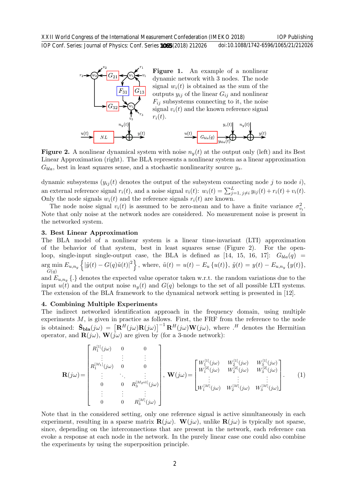

Figure 1. An example of a nonlinear dynamic network with 3 nodes. The node signal  $w_i(t)$  is obtained as the sum of the outputs  $y_{ij}$  of the linear  $G_{ij}$  and nonlinear  $F_{ij}$  subsystems connecting to it, the noise signal  $v_i(t)$  and the known reference signal  $r_i(t)$ .



**Figure 2.** A nonlinear dynamical system with noise  $n<sub>y</sub>(t)$  at the output only (left) and its Best Linear Approximation (right). The BLA represents a nonlinear system as a linear approximation  $G_{bla}$ , best in least squares sense, and a stochastic nonlinearity source  $y_s$ .

dynamic subsystems  $(y_{ij}(t)$  denotes the output of the subsystem connecting node j to node i), an external reference signal  $r_i(t)$ , and a noise signal  $v_i(t)$ :  $w_i(t) = \sum_{j=1, j \neq i}^{L} y_{ij}(t) + r_i(t) + v_i(t)$ . Only the node signals  $w_i(t)$  and the reference signals  $r_i(t)$  are known.

The node noise signal  $v_i(t)$  is assumed to be zero-mean and to have a finite variance  $\sigma_{v_i}^2$ . Note that only noise at the network nodes are considered. No measurement noise is present in the networked system.

#### 3. Best Linear Approximation

The BLA model of a nonlinear system is a linear time-invariant (LTI) approximation of the behavior of that system, best in least squares sense (Figure 2). For the openloop, single-input single-output case, the BLA is defined as [14, 15, 16, 17]:  $G_{bla}(q)$  = arg min g min  $E_{u,n_y}\left\{ |\tilde{y}(t) - G(q)\tilde{u}(t)|^2 \right\}$ , where,  $\tilde{u}(t) = u(t) - E_u \left\{ u(t) \right\}$ ,  $\tilde{y}(t) = y(t) - E_{u,n_y} \left\{ y(t) \right\}$ , and  $E_{u,n_u}$   $\{.\}$  denotes the expected value operator taken w.r.t. the random variations due to the input  $u(t)$  and the output noise  $n<sub>u</sub>(t)$  and  $G(q)$  belongs to the set of all possible LTI systems. The extension of the BLA framework to the dynamical network setting is presented in [12].

#### 4. Combining Multiple Experiments

The indirect networked identification approach in the frequency domain, using multiple experiments  $M$ , is given in practice as follows. First, the FRF from the reference to the node is obtained:  $\hat{\mathbf{S}}_{\text{bla}}(j\omega) = \left[\mathbf{R}^H(j\omega)\mathbf{R}(j\omega)\right]^{-1}\mathbf{R}^H(j\omega)\mathbf{W}(j\omega)$ , where  $\cdot^H$  denotes the Hermitian operator, and  $\mathbf{R}(i\omega)$ ,  $\mathbf{W}(i\omega)$  are given by (for a 3-node network):

$$
\mathbf{R}(j\omega) = \begin{bmatrix} R_1^{[1]}(j\omega) & 0 & 0 \\ \vdots & \vdots & \vdots \\ R_1^{[M_1]}(j\omega) & 0 & 0 \\ \vdots & \ddots & \vdots \\ 0 & 0 & R_3^{[M_2+1]}(j\omega) \\ \vdots & \vdots & \vdots \\ 0 & 0 & R_3^{[M]}(j\omega) \end{bmatrix}, \ \mathbf{W}(j\omega) = \begin{bmatrix} W_1^{[1]}(j\omega) & W_2^{[1]}(j\omega) & W_3^{[1]}(j\omega) \\ W_1^{[2]}(j\omega) & W_2^{[2]}(j\omega) & W_3^{[2]}(j\omega) \\ \vdots & \vdots & \vdots \\ W_1^{[M]}(j\omega) & W_2^{[M]}(j\omega) & W_3^{[M]}(j\omega) \end{bmatrix} . \tag{1}
$$

Note that in the considered setting, only one reference signal is active simultaneously in each experiment, resulting in a sparse matrix  $\mathbf{R}(j\omega)$ . W(j $\omega$ ), unlike  $\mathbf{R}(j\omega)$  is typically not sparse, since, depending on the interconnections that are present in the network, each reference can evoke a response at each node in the network. In the purely linear case one could also combine the experiments by using the superposition principle.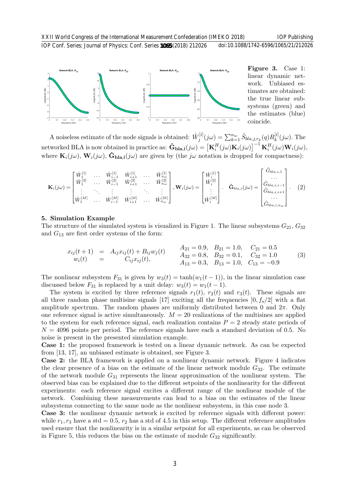IOP Conf. Series: Journal of Physics: Conf. Series **1065** (2018) 212026 doi:10.1088/1742-6596/1065/21/212026



Figure 3. Case 1: linear dynamic network. Unbiased estimates are obtained: the true linear subsystems (green) and the estimates (blue) coincide.

A noiseless estimate of the node signals is obtained:  $\hat{W}_i^{[i]}$  $j^{[i]}(j\omega)=\sum_{k=1}^{n_w}\hat{S}_{bla,j,r_k}(q)R_k^{[i]}$  $\int_k^{\lfloor t \rfloor} (j\omega)$ . The networked BLA is now obtained in practice as:  $\mathbf{\hat{G}}_{\mathbf{bla},\mathbf{i}}(j\omega) = \left[\mathbf{K}_i^H(j\omega)\mathbf{K}_i(j\omega)\right]^{-1}\mathbf{K}_i^H(j\omega)\mathbf{W}_i(j\omega)$ , where  $\mathbf{K}_i(j\omega)$ ,  $\mathbf{W}_i(j\omega)$ ,  $\hat{\mathbf{G}}_{\text{bla},i}(j\omega)$  are given by (the j $\omega$  notation is dropped for compactness):

$$
\mathbf{K}_{i}(j\omega) = \begin{bmatrix} \hat{W}_{1}^{[1]} & \cdots & \hat{W}_{i-1}^{[1]} & \hat{W}_{i+1}^{[1]} & \cdots & \hat{W}_{n_{w}}^{[1]} \\ \hat{W}_{1}^{[2]} & \cdots & \hat{W}_{i-1}^{[2]} & \hat{W}_{i+1}^{[2]} & \cdots & \hat{W}_{n_{w}}^{[2]} \\ \vdots & \ddots & \vdots & \vdots & \ddots & \vdots \\ \hat{W}_{1}^{[M]} & \cdots & \hat{W}_{i-1}^{[M]} & \hat{W}_{i+1}^{[M]} & \cdots & \hat{W}_{n_{w}}^{[M]} \end{bmatrix}, \mathbf{W}_{i}(j\omega) = \begin{bmatrix} \hat{W}_{i}^{[1]} \\ \hat{W}_{i}^{[2]} \\ \vdots \\ \hat{W}_{i}^{[M]} \end{bmatrix}. \quad \hat{\mathbf{G}}_{bla,i}(j\omega) = \begin{bmatrix} \hat{G}_{bla,i,1} \\ \cdots \\ \hat{G}_{bla,i,i-1} \\ \hat{G}_{bla,i,i+1} \\ \cdots \\ \hat{G}_{bla,i,n_{w}} \end{bmatrix}. \quad (2)
$$

#### 5. Simulation Example

The structure of the simulated system is visualized in Figure 1. The linear subsystems  $G_{21}$ ,  $G_{32}$ and  $G_{13}$  are first order systems of the form:

$$
x_{ij}(t+1) = A_{ij}x_{ij}(t) + B_{ij}w_j(t) \t A_{21} = 0.9, B_{21} = 1.0, C_{21} = 0.5\n w_i(t) = C_{ij}x_{ij}(t), A_{32} = 0.8, B_{32} = 0.1, C_{32} = 1.0\n A_{13} = 0.3, B_{13} = 1.0, C_{13} = -0.9
$$
\n(3)

The nonlinear subsystem  $F_{31}$  is given by  $w_3(t) = \tanh(w_1(t-1))$ , in the linear simulation case discussed below  $F_{31}$  is replaced by a unit delay:  $w_3(t) = w_1(t-1)$ .

The system is excited by three reference signals  $r_1(t)$ ,  $r_2(t)$  and  $r_3(t)$ . These signals are all three random phase multisine signals [17] exciting all the frequencies  $[0, f_s/2]$  with a flat amplitude spectrum. The random phases are uniformly distributed between 0 and  $2\pi$ . Only one reference signal is active simultaneously.  $M = 20$  realizations of the multisines are applied to the system for each reference signal, each realization contains  $P = 2$  steady state periods of  $N = 4096$  points per period. The reference signals have each a standard deviation of 0.5. No noise is present in the presented simulation example.

Case 1: the proposed framework is tested on a linear dynamic network. As can be expected from [13, 17], an unbiased estimate is obtained, see Figure 3.

Case 2: the BLA framework is applied on a nonlinear dynamic network. Figure 4 indicates the clear presence of a bias on the estimate of the linear network module  $G_{32}$ . The estimate of the network module  $G_{31}$  represents the linear approximation of the nonlinear system. The observed bias can be explained due to the different setpoints of the nonlinearity for the different experiments: each reference signal excites a different range of the nonlinear module of the network. Combining these measurements can lead to a bias on the estimates of the linear subsystems connecting to the same node as the nonlinear subsystem, in this case node 3.

Case 3: the nonlinear dynamic network is excited by reference signals with different power: while  $r_1, r_3$  have a std = 0.5,  $r_2$  has a std of 4.5 in this setup. The different reference amplitudes used ensure that the nonlinearity is in a similar setpoint for all experiments, as can be observed in Figure 5, this reduces the bias on the estimate of module  $G_{32}$  significantly.